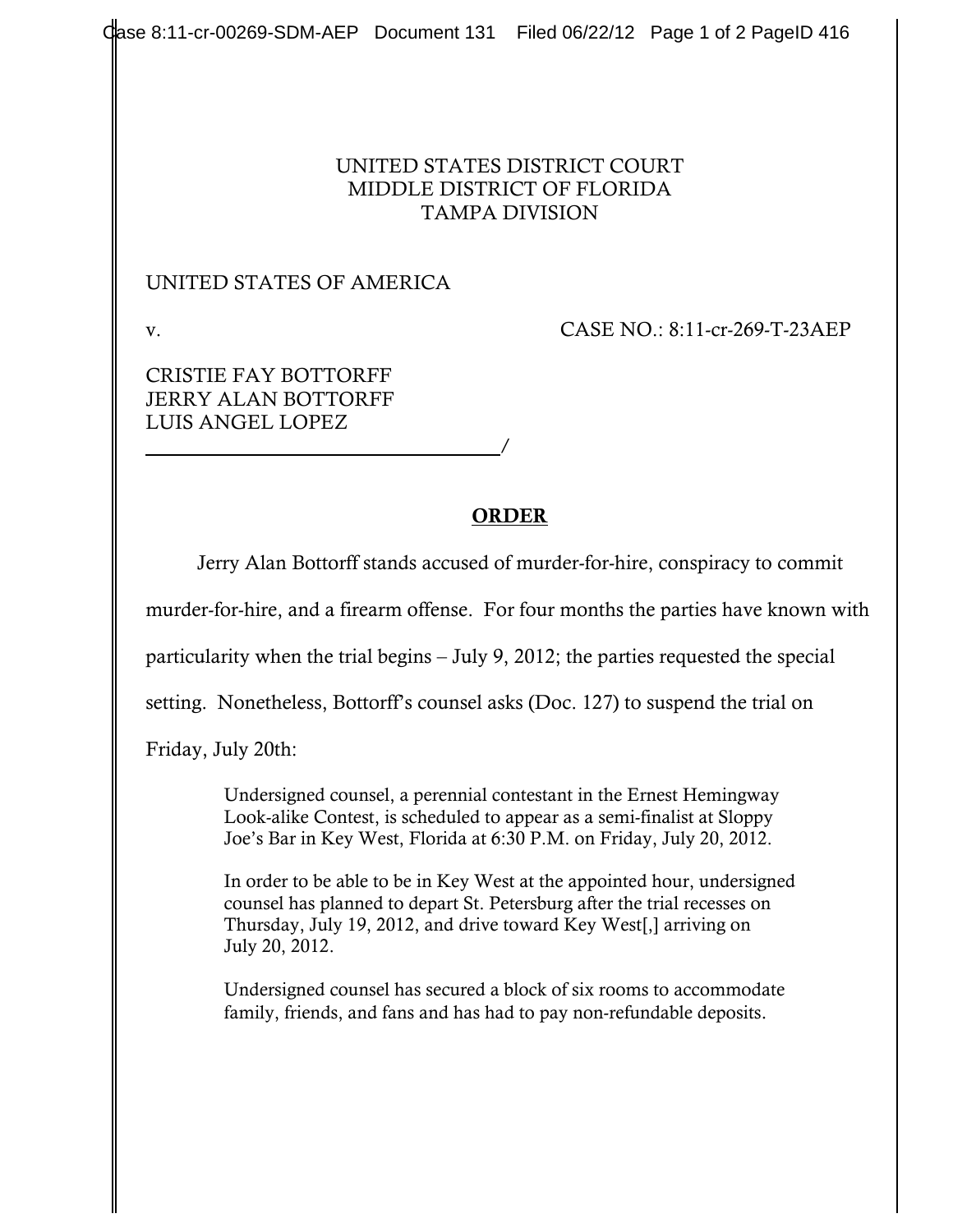## UNITED STATES DISTRICT COURT MIDDLE DISTRICT OF FLORIDA TAMPA DIVISION

## UNITED STATES OF AMERICA

/

v. CASE NO.: 8:11-cr-269-T-23AEP

CRISTIE FAY BOTTORFF JERRY ALAN BOTTORFF LUIS ANGEL LOPEZ

## ORDER

Jerry Alan Bottorff stands accused of murder-for-hire, conspiracy to commit

murder-for-hire, and a firearm offense. For four months the parties have known with

particularity when the trial begins – July 9, 2012; the parties requested the special

setting. Nonetheless, Bottorff's counsel asks (Doc. 127) to suspend the trial on

Friday, July 20th:

Undersigned counsel, a perennial contestant in the Ernest Hemingway Look-alike Contest, is scheduled to appear as a semi-finalist at Sloppy Joe's Bar in Key West, Florida at 6:30 P.M. on Friday, July 20, 2012.

In order to be able to be in Key West at the appointed hour, undersigned counsel has planned to depart St. Petersburg after the trial recesses on Thursday, July 19, 2012, and drive toward Key West[,] arriving on July 20, 2012.

Undersigned counsel has secured a block of six rooms to accommodate family, friends, and fans and has had to pay non-refundable deposits.